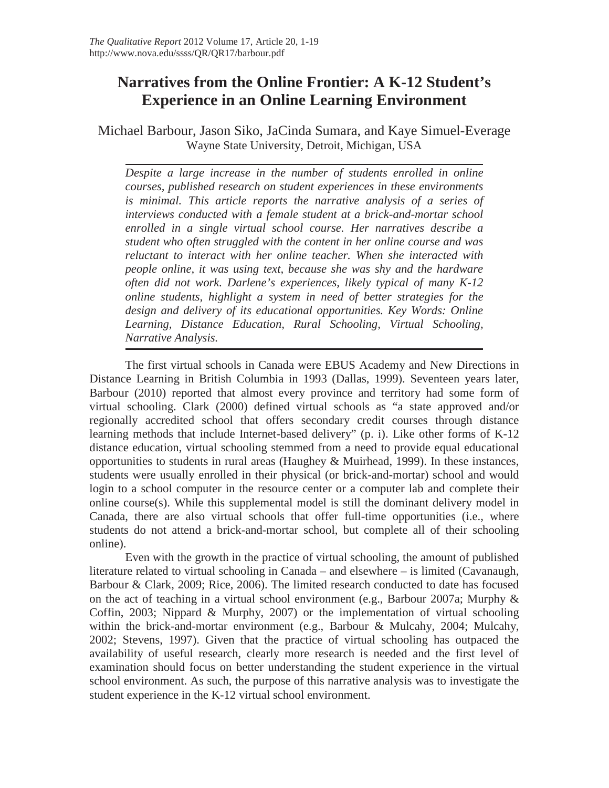# **Narratives from the Online Frontier: A K-12 Student's Experience in an Online Learning Environment**

Michael Barbour, Jason Siko, JaCinda Sumara, and Kaye Simuel-Everage Wayne State University, Detroit, Michigan, USA

*Despite a large increase in the number of students enrolled in online courses, published research on student experiences in these environments is minimal. This article reports the narrative analysis of a series of interviews conducted with a female student at a brick-and-mortar school enrolled in a single virtual school course. Her narratives describe a student who often struggled with the content in her online course and was reluctant to interact with her online teacher. When she interacted with people online, it was using text, because she was shy and the hardware often did not work. Darlene's experiences, likely typical of many K-12 online students, highlight a system in need of better strategies for the design and delivery of its educational opportunities. Key Words: Online Learning, Distance Education, Rural Schooling, Virtual Schooling, Narrative Analysis.*

The first virtual schools in Canada were EBUS Academy and New Directions in Distance Learning in British Columbia in 1993 (Dallas, 1999). Seventeen years later, Barbour (2010) reported that almost every province and territory had some form of virtual schooling. Clark (2000) defined virtual schools as "a state approved and/or regionally accredited school that offers secondary credit courses through distance learning methods that include Internet-based delivery" (p. i). Like other forms of K-12 distance education, virtual schooling stemmed from a need to provide equal educational opportunities to students in rural areas (Haughey  $\&$  Muirhead, 1999). In these instances, students were usually enrolled in their physical (or brick-and-mortar) school and would login to a school computer in the resource center or a computer lab and complete their online course(s). While this supplemental model is still the dominant delivery model in Canada, there are also virtual schools that offer full-time opportunities (i.e., where students do not attend a brick-and-mortar school, but complete all of their schooling online).

Even with the growth in the practice of virtual schooling, the amount of published literature related to virtual schooling in Canada – and elsewhere – is limited (Cavanaugh, Barbour & Clark, 2009; Rice, 2006). The limited research conducted to date has focused on the act of teaching in a virtual school environment (e.g., Barbour 2007a; Murphy & Coffin, 2003; Nippard & Murphy, 2007) or the implementation of virtual schooling within the brick-and-mortar environment (e.g., Barbour & Mulcahy, 2004; Mulcahy, 2002; Stevens, 1997). Given that the practice of virtual schooling has outpaced the availability of useful research, clearly more research is needed and the first level of examination should focus on better understanding the student experience in the virtual school environment. As such, the purpose of this narrative analysis was to investigate the student experience in the K-12 virtual school environment.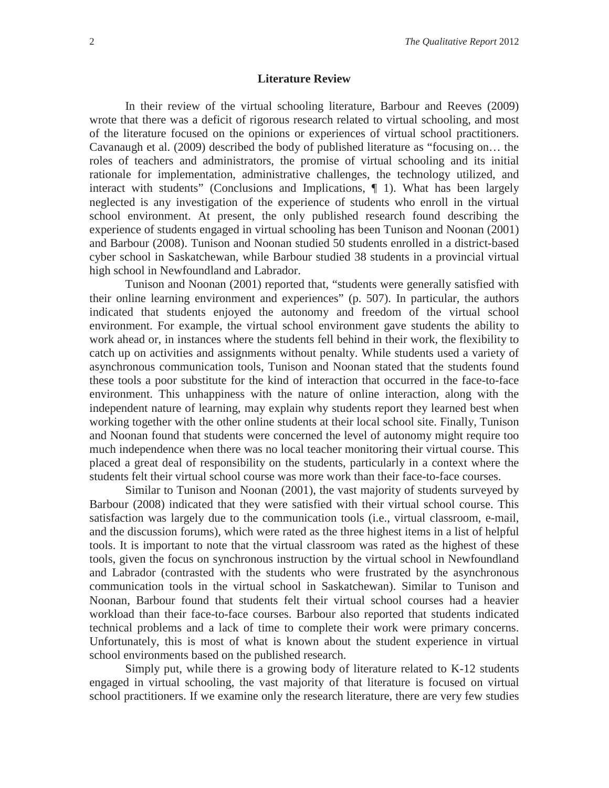#### **Literature Review**

In their review of the virtual schooling literature, Barbour and Reeves (2009) wrote that there was a deficit of rigorous research related to virtual schooling, and most of the literature focused on the opinions or experiences of virtual school practitioners. Cavanaugh et al. (2009) described the body of published literature as "focusing on… the roles of teachers and administrators, the promise of virtual schooling and its initial rationale for implementation, administrative challenges, the technology utilized, and interact with students" (Conclusions and Implications, ¶ 1). What has been largely neglected is any investigation of the experience of students who enroll in the virtual school environment. At present, the only published research found describing the experience of students engaged in virtual schooling has been Tunison and Noonan (2001) and Barbour (2008). Tunison and Noonan studied 50 students enrolled in a district-based cyber school in Saskatchewan, while Barbour studied 38 students in a provincial virtual high school in Newfoundland and Labrador.

Tunison and Noonan (2001) reported that, "students were generally satisfied with their online learning environment and experiences" (p. 507). In particular, the authors indicated that students enjoyed the autonomy and freedom of the virtual school environment. For example, the virtual school environment gave students the ability to work ahead or, in instances where the students fell behind in their work, the flexibility to catch up on activities and assignments without penalty. While students used a variety of asynchronous communication tools, Tunison and Noonan stated that the students found these tools a poor substitute for the kind of interaction that occurred in the face-to-face environment. This unhappiness with the nature of online interaction, along with the independent nature of learning, may explain why students report they learned best when working together with the other online students at their local school site. Finally, Tunison and Noonan found that students were concerned the level of autonomy might require too much independence when there was no local teacher monitoring their virtual course. This placed a great deal of responsibility on the students, particularly in a context where the students felt their virtual school course was more work than their face-to-face courses.

Similar to Tunison and Noonan (2001), the vast majority of students surveyed by Barbour (2008) indicated that they were satisfied with their virtual school course. This satisfaction was largely due to the communication tools (i.e., virtual classroom, e-mail, and the discussion forums), which were rated as the three highest items in a list of helpful tools. It is important to note that the virtual classroom was rated as the highest of these tools, given the focus on synchronous instruction by the virtual school in Newfoundland and Labrador (contrasted with the students who were frustrated by the asynchronous communication tools in the virtual school in Saskatchewan). Similar to Tunison and Noonan, Barbour found that students felt their virtual school courses had a heavier workload than their face-to-face courses. Barbour also reported that students indicated technical problems and a lack of time to complete their work were primary concerns. Unfortunately, this is most of what is known about the student experience in virtual school environments based on the published research.

Simply put, while there is a growing body of literature related to K-12 students engaged in virtual schooling, the vast majority of that literature is focused on virtual school practitioners. If we examine only the research literature, there are very few studies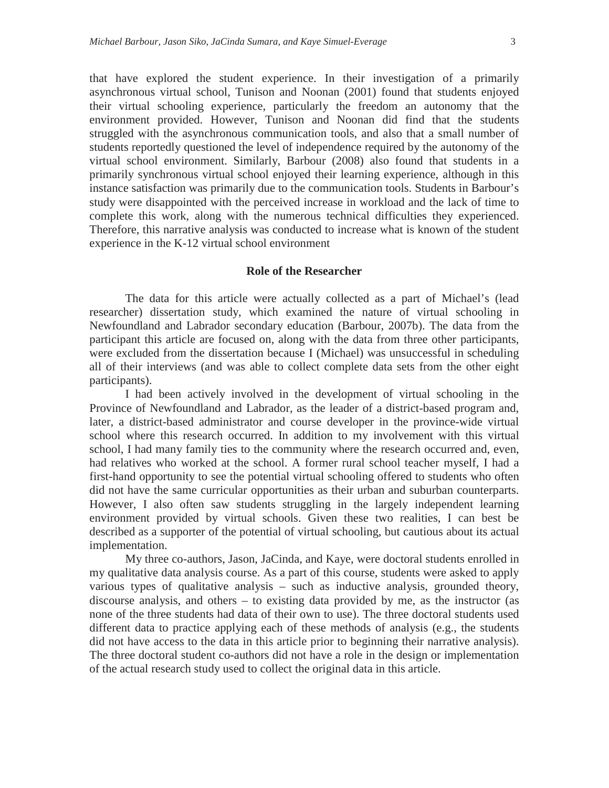that have explored the student experience. In their investigation of a primarily asynchronous virtual school, Tunison and Noonan (2001) found that students enjoyed their virtual schooling experience, particularly the freedom an autonomy that the environment provided. However, Tunison and Noonan did find that the students struggled with the asynchronous communication tools, and also that a small number of students reportedly questioned the level of independence required by the autonomy of the virtual school environment. Similarly, Barbour (2008) also found that students in a primarily synchronous virtual school enjoyed their learning experience, although in this instance satisfaction was primarily due to the communication tools. Students in Barbour's study were disappointed with the perceived increase in workload and the lack of time to complete this work, along with the numerous technical difficulties they experienced. Therefore, this narrative analysis was conducted to increase what is known of the student experience in the K-12 virtual school environment

#### **Role of the Researcher**

The data for this article were actually collected as a part of Michael's (lead researcher) dissertation study, which examined the nature of virtual schooling in Newfoundland and Labrador secondary education (Barbour, 2007b). The data from the participant this article are focused on, along with the data from three other participants, were excluded from the dissertation because I (Michael) was unsuccessful in scheduling all of their interviews (and was able to collect complete data sets from the other eight participants).

I had been actively involved in the development of virtual schooling in the Province of Newfoundland and Labrador, as the leader of a district-based program and, later, a district-based administrator and course developer in the province-wide virtual school where this research occurred. In addition to my involvement with this virtual school, I had many family ties to the community where the research occurred and, even, had relatives who worked at the school. A former rural school teacher myself, I had a first-hand opportunity to see the potential virtual schooling offered to students who often did not have the same curricular opportunities as their urban and suburban counterparts. However, I also often saw students struggling in the largely independent learning environment provided by virtual schools. Given these two realities, I can best be described as a supporter of the potential of virtual schooling, but cautious about its actual implementation.

My three co-authors, Jason, JaCinda, and Kaye, were doctoral students enrolled in my qualitative data analysis course. As a part of this course, students were asked to apply various types of qualitative analysis – such as inductive analysis, grounded theory, discourse analysis, and others – to existing data provided by me, as the instructor (as none of the three students had data of their own to use). The three doctoral students used different data to practice applying each of these methods of analysis (e.g., the students did not have access to the data in this article prior to beginning their narrative analysis). The three doctoral student co-authors did not have a role in the design or implementation of the actual research study used to collect the original data in this article.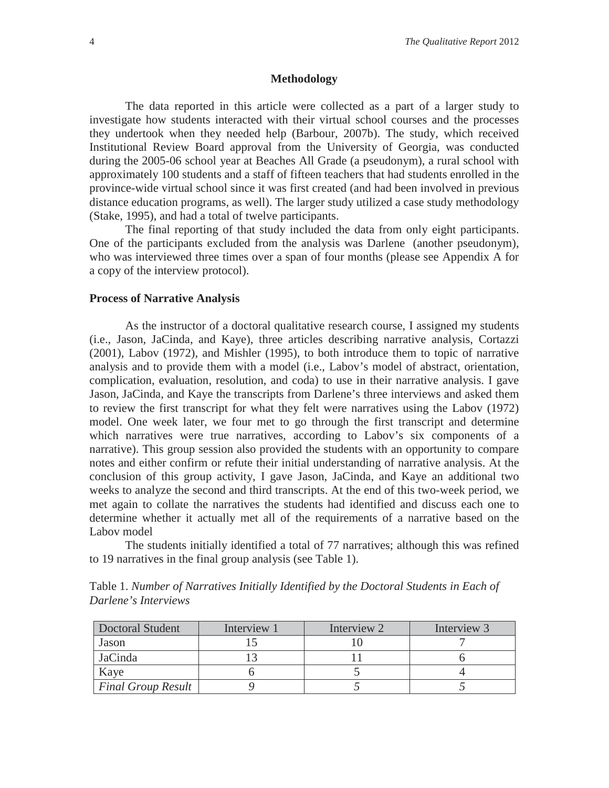#### **Methodology**

The data reported in this article were collected as a part of a larger study to investigate how students interacted with their virtual school courses and the processes they undertook when they needed help (Barbour, 2007b). The study, which received Institutional Review Board approval from the University of Georgia, was conducted during the 2005-06 school year at Beaches All Grade (a pseudonym), a rural school with approximately 100 students and a staff of fifteen teachers that had students enrolled in the province-wide virtual school since it was first created (and had been involved in previous distance education programs, as well). The larger study utilized a case study methodology (Stake, 1995), and had a total of twelve participants.

The final reporting of that study included the data from only eight participants. One of the participants excluded from the analysis was Darlene (another pseudonym), who was interviewed three times over a span of four months (please see Appendix A for a copy of the interview protocol).

#### **Process of Narrative Analysis**

As the instructor of a doctoral qualitative research course, I assigned my students (i.e., Jason, JaCinda, and Kaye), three articles describing narrative analysis, Cortazzi (2001), Labov (1972), and Mishler (1995), to both introduce them to topic of narrative analysis and to provide them with a model (i.e., Labov's model of abstract, orientation, complication, evaluation, resolution, and coda) to use in their narrative analysis. I gave Jason, JaCinda, and Kaye the transcripts from Darlene's three interviews and asked them to review the first transcript for what they felt were narratives using the Labov (1972) model. One week later, we four met to go through the first transcript and determine which narratives were true narratives, according to Labov's six components of a narrative). This group session also provided the students with an opportunity to compare notes and either confirm or refute their initial understanding of narrative analysis. At the conclusion of this group activity, I gave Jason, JaCinda, and Kaye an additional two weeks to analyze the second and third transcripts. At the end of this two-week period, we met again to collate the narratives the students had identified and discuss each one to determine whether it actually met all of the requirements of a narrative based on the Labov model

The students initially identified a total of 77 narratives; although this was refined to 19 narratives in the final group analysis (see Table 1).

| <b>Doctoral Student</b>   | Interview 1 | Interview 2 | Interview 3 |
|---------------------------|-------------|-------------|-------------|
| Jason                     |             |             |             |
| JaCinda                   |             |             |             |
| Kaye                      |             |             |             |
| <b>Final Group Result</b> |             |             |             |

Table 1. *Number of Narratives Initially Identified by the Doctoral Students in Each of Darlene's Interviews*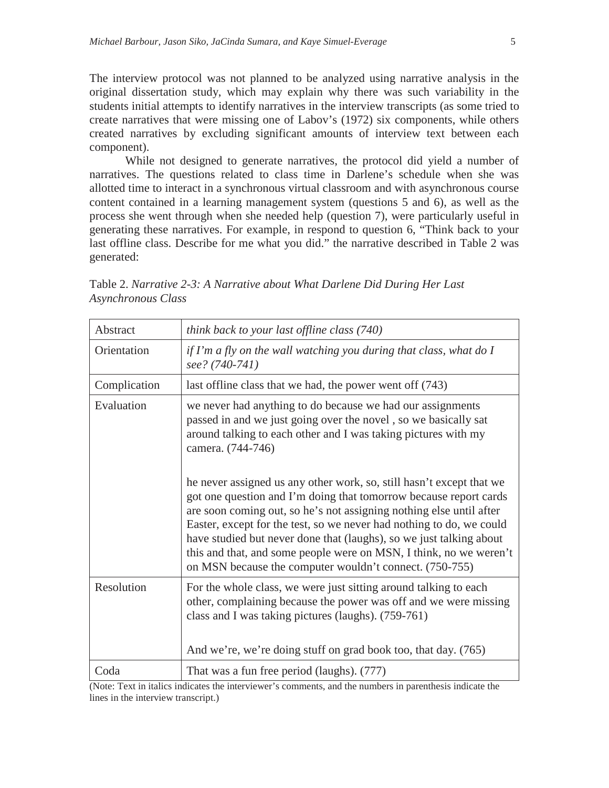The interview protocol was not planned to be analyzed using narrative analysis in the original dissertation study, which may explain why there was such variability in the students initial attempts to identify narratives in the interview transcripts (as some tried to create narratives that were missing one of Labov's (1972) six components, while others created narratives by excluding significant amounts of interview text between each component).

While not designed to generate narratives, the protocol did yield a number of narratives. The questions related to class time in Darlene's schedule when she was allotted time to interact in a synchronous virtual classroom and with asynchronous course content contained in a learning management system (questions 5 and 6), as well as the process she went through when she needed help (question 7), were particularly useful in generating these narratives. For example, in respond to question 6, "Think back to your last offline class. Describe for me what you did." the narrative described in Table 2 was generated:

| Abstract     | think back to your last offline class (740)                                                                                                                                                                                                                                                                                                                                                                                                                                                      |
|--------------|--------------------------------------------------------------------------------------------------------------------------------------------------------------------------------------------------------------------------------------------------------------------------------------------------------------------------------------------------------------------------------------------------------------------------------------------------------------------------------------------------|
| Orientation  | if I'm a fly on the wall watching you during that class, what do I<br>see? (740-741)                                                                                                                                                                                                                                                                                                                                                                                                             |
| Complication | last offline class that we had, the power went off (743)                                                                                                                                                                                                                                                                                                                                                                                                                                         |
| Evaluation   | we never had anything to do because we had our assignments<br>passed in and we just going over the novel, so we basically sat<br>around talking to each other and I was taking pictures with my<br>camera. (744-746)                                                                                                                                                                                                                                                                             |
|              | he never assigned us any other work, so, still hasn't except that we<br>got one question and I'm doing that tomorrow because report cards<br>are soon coming out, so he's not assigning nothing else until after<br>Easter, except for the test, so we never had nothing to do, we could<br>have studied but never done that (laughs), so we just talking about<br>this and that, and some people were on MSN, I think, no we weren't<br>on MSN because the computer wouldn't connect. (750-755) |
| Resolution   | For the whole class, we were just sitting around talking to each<br>other, complaining because the power was off and we were missing<br>class and I was taking pictures (laughs). (759-761)<br>And we're, we're doing stuff on grad book too, that day. (765)                                                                                                                                                                                                                                    |
| Coda         | That was a fun free period (laughs). (777)                                                                                                                                                                                                                                                                                                                                                                                                                                                       |
|              |                                                                                                                                                                                                                                                                                                                                                                                                                                                                                                  |

Table 2. *Narrative 2-3: A Narrative about What Darlene Did During Her Last Asynchronous Class*

(Note: Text in italics indicates the interviewer's comments, and the numbers in parenthesis indicate the lines in the interview transcript.)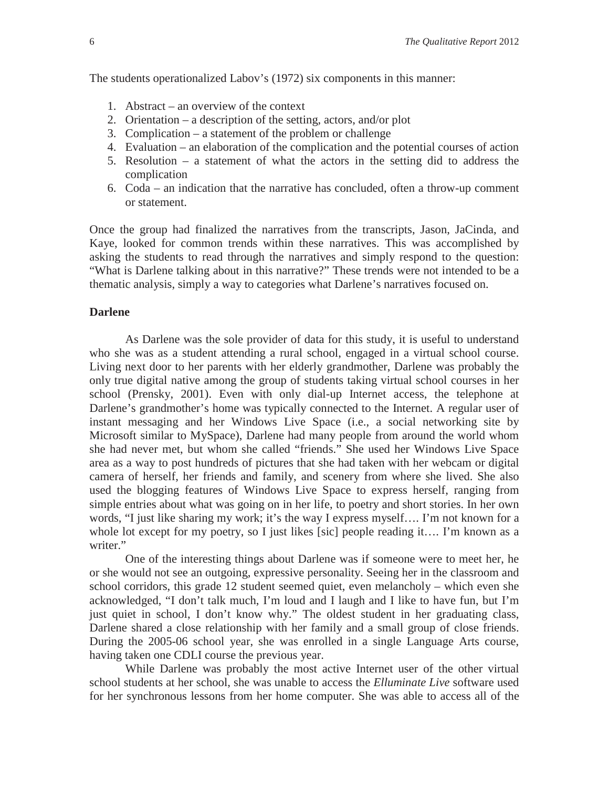The students operationalized Labov's (1972) six components in this manner:

- 1. Abstract an overview of the context
- 2. Orientation a description of the setting, actors, and/or plot
- 3. Complication a statement of the problem or challenge
- 4. Evaluation an elaboration of the complication and the potential courses of action
- 5. Resolution a statement of what the actors in the setting did to address the complication
- 6. Coda an indication that the narrative has concluded, often a throw-up comment or statement.

Once the group had finalized the narratives from the transcripts, Jason, JaCinda, and Kaye, looked for common trends within these narratives. This was accomplished by asking the students to read through the narratives and simply respond to the question: "What is Darlene talking about in this narrative?" These trends were not intended to be a thematic analysis, simply a way to categories what Darlene's narratives focused on.

#### **Darlene**

As Darlene was the sole provider of data for this study, it is useful to understand who she was as a student attending a rural school, engaged in a virtual school course. Living next door to her parents with her elderly grandmother, Darlene was probably the only true digital native among the group of students taking virtual school courses in her school (Prensky, 2001). Even with only dial-up Internet access, the telephone at Darlene's grandmother's home was typically connected to the Internet. A regular user of instant messaging and her Windows Live Space (i.e., a social networking site by Microsoft similar to MySpace), Darlene had many people from around the world whom she had never met, but whom she called "friends." She used her Windows Live Space area as a way to post hundreds of pictures that she had taken with her webcam or digital camera of herself, her friends and family, and scenery from where she lived. She also used the blogging features of Windows Live Space to express herself, ranging from simple entries about what was going on in her life, to poetry and short stories. In her own words, "I just like sharing my work; it's the way I express myself…. I'm not known for a whole lot except for my poetry, so I just likes [sic] people reading it.... I'm known as a writer."

One of the interesting things about Darlene was if someone were to meet her, he or she would not see an outgoing, expressive personality. Seeing her in the classroom and school corridors, this grade 12 student seemed quiet, even melancholy – which even she acknowledged, "I don't talk much, I'm loud and I laugh and I like to have fun, but I'm just quiet in school, I don't know why." The oldest student in her graduating class, Darlene shared a close relationship with her family and a small group of close friends. During the 2005-06 school year, she was enrolled in a single Language Arts course, having taken one CDLI course the previous year.

While Darlene was probably the most active Internet user of the other virtual school students at her school, she was unable to access the *Elluminate Live* software used for her synchronous lessons from her home computer. She was able to access all of the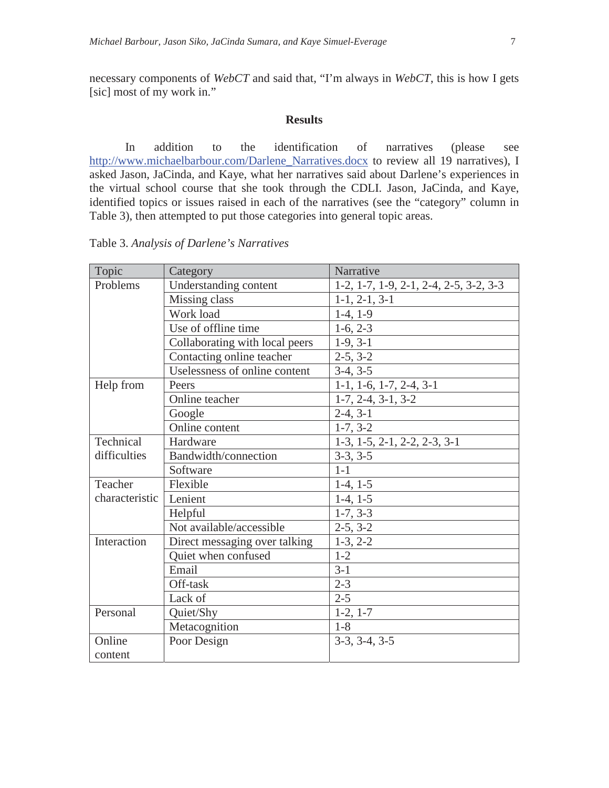necessary components of *WebCT* and said that, "I'm always in *WebCT*, this is how I gets [sic] most of my work in."

#### **Results**

In addition to the identification of narratives (please see http://www.michaelbarbour.com/Darlene\_Narratives.docx to review all 19 narratives), I asked Jason, JaCinda, and Kaye, what her narratives said about Darlene's experiences in the virtual school course that she took through the CDLI. Jason, JaCinda, and Kaye, identified topics or issues raised in each of the narratives (see the "category" column in Table 3), then attempted to put those categories into general topic areas.

Table 3. *Analysis of Darlene's Narratives*

| Topic          | Category                       | Narrative                                                     |
|----------------|--------------------------------|---------------------------------------------------------------|
| Problems       | <b>Understanding content</b>   | $1-2$ , $1-7$ , $1-9$ , $2-1$ , $2-4$ , $2-5$ , $3-2$ , $3-3$ |
|                | Missing class                  | $1-1, 2-1, 3-1$                                               |
|                | Work load                      | $1-4, 1-9$                                                    |
|                | Use of offline time            | $1-6, 2-3$                                                    |
|                | Collaborating with local peers | $1-9, 3-1$                                                    |
|                | Contacting online teacher      | $2-5, 3-2$                                                    |
|                | Uselessness of online content  | $3-4, 3-5$                                                    |
| Help from      | Peers                          | $1-1, 1-6, 1-7, 2-4, 3-1$                                     |
|                | Online teacher                 | $1-7, 2-4, 3-1, 3-2$                                          |
|                | Google                         | $2-4, 3-1$                                                    |
|                | Online content                 | $1-7, 3-2$                                                    |
| Technical      | Hardware                       | $1-3$ , $1-5$ , $2-1$ , $2-2$ , $2-3$ , $3-1$                 |
| difficulties   | Bandwidth/connection           | $3-3, 3-5$                                                    |
|                | Software                       | $1 - 1$                                                       |
| Teacher        | Flexible                       | $1-4, 1-5$                                                    |
| characteristic | Lenient                        | $1-4, 1-5$                                                    |
|                | Helpful                        | $1-7, 3-3$                                                    |
|                | Not available/accessible       | $2-5, 3-2$                                                    |
| Interaction    | Direct messaging over talking  | $1-3, 2-2$                                                    |
|                | Quiet when confused            | $1 - 2$                                                       |
|                | Email                          | $3-1$                                                         |
|                | Off-task                       | $2 - 3$                                                       |
|                | Lack of                        | $2 - 5$                                                       |
| Personal       | Quiet/Shy                      | $1-2, 1-7$                                                    |
|                | Metacognition                  | $1 - 8$                                                       |
| Online         | Poor Design                    | $3-3, 3-4, 3-5$                                               |
| content        |                                |                                                               |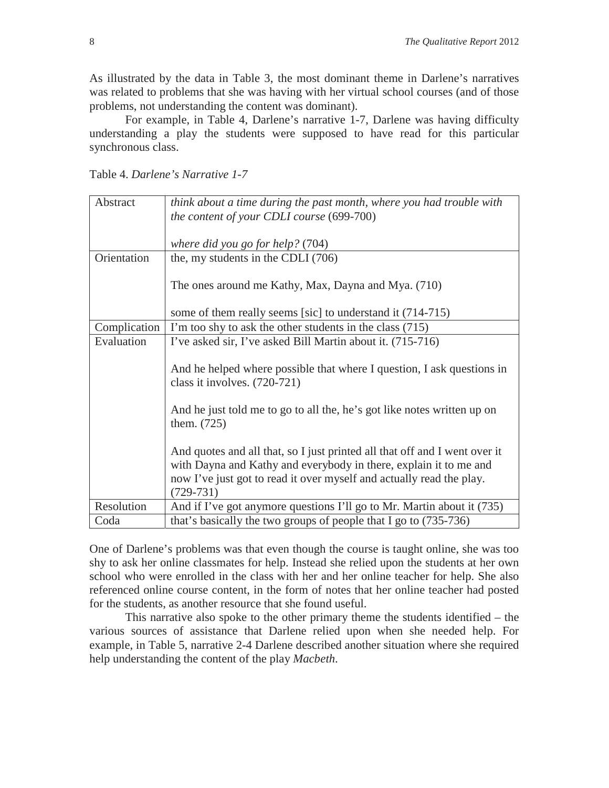As illustrated by the data in Table 3, the most dominant theme in Darlene's narratives was related to problems that she was having with her virtual school courses (and of those problems, not understanding the content was dominant).

For example, in Table 4, Darlene's narrative 1-7, Darlene was having difficulty understanding a play the students were supposed to have read for this particular synchronous class.

Table 4. *Darlene's Narrative 1-7*

| Abstract     | think about a time during the past month, where you had trouble with                                                                                                                                                                   |
|--------------|----------------------------------------------------------------------------------------------------------------------------------------------------------------------------------------------------------------------------------------|
|              | the content of your CDLI course (699-700)                                                                                                                                                                                              |
|              |                                                                                                                                                                                                                                        |
|              | where did you go for help? (704)                                                                                                                                                                                                       |
| Orientation  | the, my students in the CDLI (706)                                                                                                                                                                                                     |
|              | The ones around me Kathy, Max, Dayna and Mya. (710)                                                                                                                                                                                    |
|              | some of them really seems [sic] to understand it (714-715)                                                                                                                                                                             |
| Complication | I'm too shy to ask the other students in the class (715)                                                                                                                                                                               |
| Evaluation   | I've asked sir, I've asked Bill Martin about it. (715-716)                                                                                                                                                                             |
|              | And he helped where possible that where I question, I ask questions in<br>class it involves. (720-721)                                                                                                                                 |
|              | And he just told me to go to all the, he's got like notes written up on<br>them. $(725)$                                                                                                                                               |
|              | And quotes and all that, so I just printed all that off and I went over it<br>with Dayna and Kathy and everybody in there, explain it to me and<br>now I've just got to read it over myself and actually read the play.<br>$(729-731)$ |
| Resolution   | And if I've got anymore questions I'll go to Mr. Martin about it (735)                                                                                                                                                                 |
| Coda         | that's basically the two groups of people that I go to (735-736)                                                                                                                                                                       |

One of Darlene's problems was that even though the course is taught online, she was too shy to ask her online classmates for help. Instead she relied upon the students at her own school who were enrolled in the class with her and her online teacher for help. She also referenced online course content, in the form of notes that her online teacher had posted for the students, as another resource that she found useful.

This narrative also spoke to the other primary theme the students identified – the various sources of assistance that Darlene relied upon when she needed help. For example, in Table 5, narrative 2-4 Darlene described another situation where she required help understanding the content of the play *Macbeth*.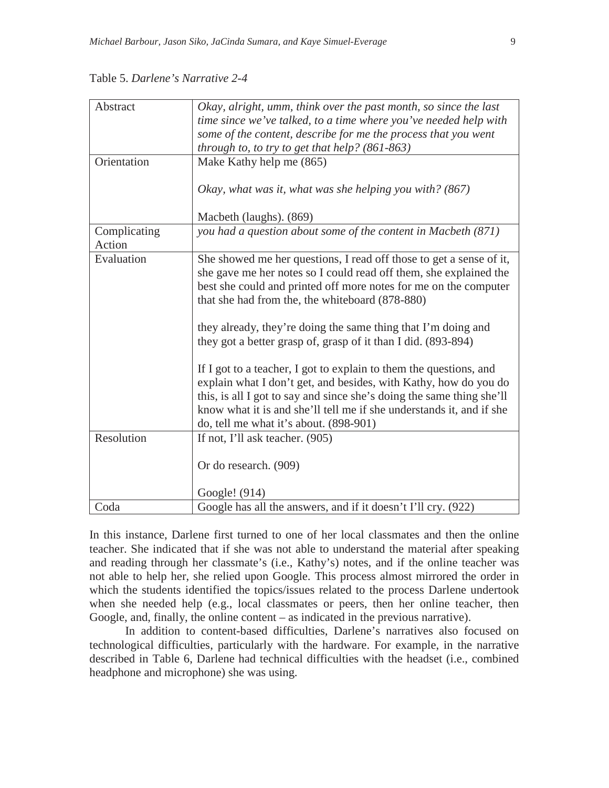| Abstract               | Okay, alright, umm, think over the past month, so since the last<br>time since we've talked, to a time where you've needed help with<br>some of the content, describe for me the process that you went<br>through to, to try to get that help? $(861-863)$                                                                                                                                                                                                                                                                                                                                                                                                                                                                             |
|------------------------|----------------------------------------------------------------------------------------------------------------------------------------------------------------------------------------------------------------------------------------------------------------------------------------------------------------------------------------------------------------------------------------------------------------------------------------------------------------------------------------------------------------------------------------------------------------------------------------------------------------------------------------------------------------------------------------------------------------------------------------|
| Orientation            | Make Kathy help me (865)                                                                                                                                                                                                                                                                                                                                                                                                                                                                                                                                                                                                                                                                                                               |
|                        | Okay, what was it, what was she helping you with? (867)                                                                                                                                                                                                                                                                                                                                                                                                                                                                                                                                                                                                                                                                                |
|                        | Macbeth (laughs). (869)                                                                                                                                                                                                                                                                                                                                                                                                                                                                                                                                                                                                                                                                                                                |
| Complicating<br>Action | you had a question about some of the content in Macbeth (871)                                                                                                                                                                                                                                                                                                                                                                                                                                                                                                                                                                                                                                                                          |
| Evaluation             | She showed me her questions, I read off those to get a sense of it,<br>she gave me her notes so I could read off them, she explained the<br>best she could and printed off more notes for me on the computer<br>that she had from the, the whiteboard (878-880)<br>they already, they're doing the same thing that I'm doing and<br>they got a better grasp of, grasp of it than I did. (893-894)<br>If I got to a teacher, I got to explain to them the questions, and<br>explain what I don't get, and besides, with Kathy, how do you do<br>this, is all I got to say and since she's doing the same thing she'll<br>know what it is and she'll tell me if she understands it, and if she<br>do, tell me what it's about. (898-901) |
| Resolution             | If not, I'll ask teacher. (905)                                                                                                                                                                                                                                                                                                                                                                                                                                                                                                                                                                                                                                                                                                        |
|                        | Or do research. (909)                                                                                                                                                                                                                                                                                                                                                                                                                                                                                                                                                                                                                                                                                                                  |
|                        | Google! (914)                                                                                                                                                                                                                                                                                                                                                                                                                                                                                                                                                                                                                                                                                                                          |
| Coda                   | Google has all the answers, and if it doesn't I'll cry. (922)                                                                                                                                                                                                                                                                                                                                                                                                                                                                                                                                                                                                                                                                          |

Table 5. *Darlene's Narrative 2-4*

In this instance, Darlene first turned to one of her local classmates and then the online teacher. She indicated that if she was not able to understand the material after speaking and reading through her classmate's (i.e., Kathy's) notes, and if the online teacher was not able to help her, she relied upon Google. This process almost mirrored the order in which the students identified the topics/issues related to the process Darlene undertook when she needed help (e.g., local classmates or peers, then her online teacher, then Google, and, finally, the online content – as indicated in the previous narrative).

In addition to content-based difficulties, Darlene's narratives also focused on technological difficulties, particularly with the hardware. For example, in the narrative described in Table 6, Darlene had technical difficulties with the headset (i.e., combined headphone and microphone) she was using.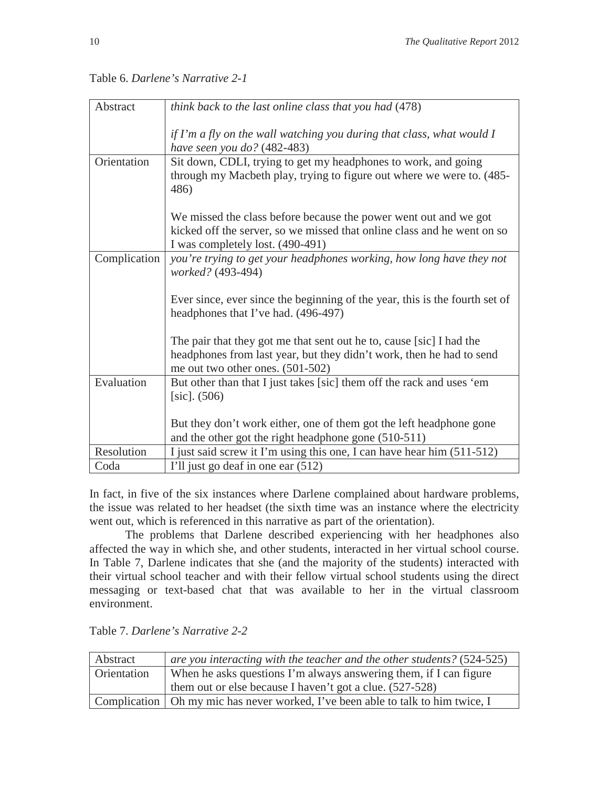| Abstract     | think back to the last online class that you had (478)                                                                                                                           |
|--------------|----------------------------------------------------------------------------------------------------------------------------------------------------------------------------------|
|              | if I'm a fly on the wall watching you during that class, what would $I$<br>have seen you do? (482-483)                                                                           |
| Orientation  | Sit down, CDLI, trying to get my headphones to work, and going<br>through my Macbeth play, trying to figure out where we were to. (485-<br>486)                                  |
|              | We missed the class before because the power went out and we got                                                                                                                 |
|              | kicked off the server, so we missed that online class and he went on so<br>I was completely lost. (490-491)                                                                      |
| Complication | you're trying to get your headphones working, how long have they not<br>worked? (493-494)                                                                                        |
|              | Ever since, ever since the beginning of the year, this is the fourth set of<br>headphones that I've had. (496-497)                                                               |
|              | The pair that they got me that sent out he to, cause [sic] I had the<br>headphones from last year, but they didn't work, then he had to send<br>me out two other ones. (501-502) |
| Evaluation   | But other than that I just takes [sic] them off the rack and uses 'em<br>$[sic]$ . (506)                                                                                         |
|              | But they don't work either, one of them got the left headphone gone<br>and the other got the right headphone gone (510-511)                                                      |
| Resolution   | I just said screw it I'm using this one, I can have hear him (511-512)                                                                                                           |
| Coda         | I'll just go deaf in one ear (512)                                                                                                                                               |

Table 6. *Darlene's Narrative 2-1*

In fact, in five of the six instances where Darlene complained about hardware problems, the issue was related to her headset (the sixth time was an instance where the electricity went out, which is referenced in this narrative as part of the orientation).

The problems that Darlene described experiencing with her headphones also affected the way in which she, and other students, interacted in her virtual school course. In Table 7, Darlene indicates that she (and the majority of the students) interacted with their virtual school teacher and with their fellow virtual school students using the direct messaging or text-based chat that was available to her in the virtual classroom environment.

| Abstract           | are you interacting with the teacher and the other students? (524-525)            |
|--------------------|-----------------------------------------------------------------------------------|
| <b>Orientation</b> | When he asks questions I'm always answering them, if I can figure                 |
|                    | them out or else because I haven't got a clue. (527-528)                          |
|                    | Complication   Oh my mic has never worked, I've been able to talk to him twice, I |

Table 7. *Darlene's Narrative 2-2*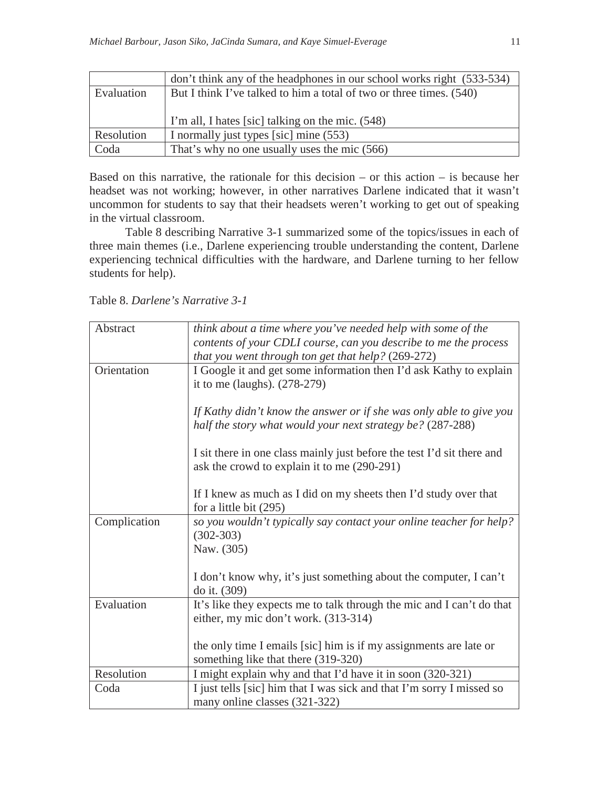|            | don't think any of the headphones in our school works right (533-534) |
|------------|-----------------------------------------------------------------------|
| Evaluation | But I think I've talked to him a total of two or three times. (540)   |
|            |                                                                       |
|            | I'm all, I hates [sic] talking on the mic. (548)                      |
| Resolution | I normally just types [sic] mine (553)                                |
| Coda       | That's why no one usually uses the mic (566)                          |

Based on this narrative, the rationale for this decision – or this action – is because her headset was not working; however, in other narratives Darlene indicated that it wasn't uncommon for students to say that their headsets weren't working to get out of speaking in the virtual classroom.

Table 8 describing Narrative 3-1 summarized some of the topics/issues in each of three main themes (i.e., Darlene experiencing trouble understanding the content, Darlene experiencing technical difficulties with the hardware, and Darlene turning to her fellow students for help).

Table 8. *Darlene's Narrative 3-1*

| Abstract     | think about a time where you've needed help with some of the           |
|--------------|------------------------------------------------------------------------|
|              | contents of your CDLI course, can you describe to me the process       |
|              | that you went through ton get that help? (269-272)                     |
| Orientation  | I Google it and get some information then I'd ask Kathy to explain     |
|              | it to me (laughs). $(278-279)$                                         |
|              |                                                                        |
|              | If Kathy didn't know the answer or if she was only able to give you    |
|              | half the story what would your next strategy be? (287-288)             |
|              |                                                                        |
|              | I sit there in one class mainly just before the test I'd sit there and |
|              | ask the crowd to explain it to me (290-291)                            |
|              |                                                                        |
|              | If I knew as much as I did on my sheets then I'd study over that       |
|              | for a little bit (295)                                                 |
| Complication | so you wouldn't typically say contact your online teacher for help?    |
|              | $(302 - 303)$                                                          |
|              | Naw. (305)                                                             |
|              |                                                                        |
|              | I don't know why, it's just something about the computer, I can't      |
|              | do it. (309)                                                           |
| Evaluation   | It's like they expects me to talk through the mic and I can't do that  |
|              | either, my mic don't work. (313-314)                                   |
|              |                                                                        |
|              | the only time I emails [sic] him is if my assignments are late or      |
|              | something like that there (319-320)                                    |
| Resolution   | I might explain why and that I'd have it in soon (320-321)             |
| Coda         | I just tells [sic] him that I was sick and that I'm sorry I missed so  |
|              | many online classes (321-322)                                          |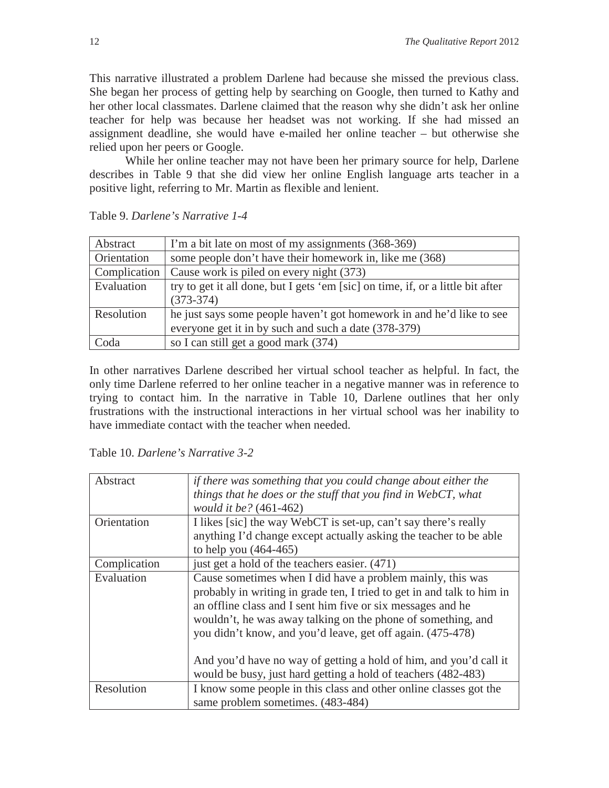This narrative illustrated a problem Darlene had because she missed the previous class. She began her process of getting help by searching on Google, then turned to Kathy and her other local classmates. Darlene claimed that the reason why she didn't ask her online teacher for help was because her headset was not working. If she had missed an assignment deadline, she would have e-mailed her online teacher – but otherwise she relied upon her peers or Google.

While her online teacher may not have been her primary source for help, Darlene describes in Table 9 that she did view her online English language arts teacher in a positive light, referring to Mr. Martin as flexible and lenient.

| Abstract     | I'm a bit late on most of my assignments (368-369)                              |
|--------------|---------------------------------------------------------------------------------|
| Orientation  | some people don't have their homework in, like me (368)                         |
| Complication | Cause work is piled on every night (373)                                        |
| Evaluation   | try to get it all done, but I gets 'em [sic] on time, if, or a little bit after |
|              | $(373-374)$                                                                     |
| Resolution   | he just says some people haven't got homework in and he'd like to see           |
|              | everyone get it in by such and such a date (378-379)                            |
| Coda         | so I can still get a good mark (374)                                            |

Table 9. *Darlene's Narrative 1-4*

In other narratives Darlene described her virtual school teacher as helpful. In fact, the only time Darlene referred to her online teacher in a negative manner was in reference to trying to contact him. In the narrative in Table 10, Darlene outlines that her only frustrations with the instructional interactions in her virtual school was her inability to have immediate contact with the teacher when needed.

Table 10. *Darlene's Narrative 3-2*

| Abstract     | if there was something that you could change about either the<br>things that he does or the stuff that you find in WebCT, what<br>would it be? (461-462)                                                                                                                                                                                                                                                                                                                |
|--------------|-------------------------------------------------------------------------------------------------------------------------------------------------------------------------------------------------------------------------------------------------------------------------------------------------------------------------------------------------------------------------------------------------------------------------------------------------------------------------|
| Orientation  | I likes [sic] the way WebCT is set-up, can't say there's really<br>anything I'd change except actually asking the teacher to be able<br>to help you (464-465)                                                                                                                                                                                                                                                                                                           |
| Complication | just get a hold of the teachers easier. (471)                                                                                                                                                                                                                                                                                                                                                                                                                           |
| Evaluation   | Cause sometimes when I did have a problem mainly, this was<br>probably in writing in grade ten, I tried to get in and talk to him in<br>an offline class and I sent him five or six messages and he<br>wouldn't, he was away talking on the phone of something, and<br>you didn't know, and you'd leave, get off again. (475-478)<br>And you'd have no way of getting a hold of him, and you'd call it<br>would be busy, just hard getting a hold of teachers (482-483) |
| Resolution   | I know some people in this class and other online classes got the<br>same problem sometimes. $(483-484)$                                                                                                                                                                                                                                                                                                                                                                |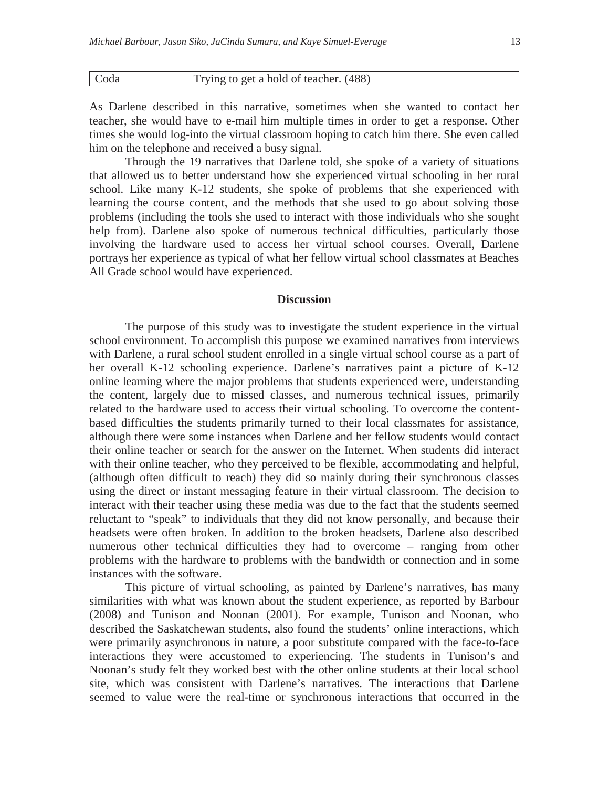| Coda | Trying to get a hold of teacher. (488) |
|------|----------------------------------------|
|      |                                        |

As Darlene described in this narrative, sometimes when she wanted to contact her teacher, she would have to e-mail him multiple times in order to get a response. Other times she would log-into the virtual classroom hoping to catch him there. She even called him on the telephone and received a busy signal.

Through the 19 narratives that Darlene told, she spoke of a variety of situations that allowed us to better understand how she experienced virtual schooling in her rural school. Like many K-12 students, she spoke of problems that she experienced with learning the course content, and the methods that she used to go about solving those problems (including the tools she used to interact with those individuals who she sought help from). Darlene also spoke of numerous technical difficulties, particularly those involving the hardware used to access her virtual school courses. Overall, Darlene portrays her experience as typical of what her fellow virtual school classmates at Beaches All Grade school would have experienced.

#### **Discussion**

The purpose of this study was to investigate the student experience in the virtual school environment. To accomplish this purpose we examined narratives from interviews with Darlene, a rural school student enrolled in a single virtual school course as a part of her overall K-12 schooling experience. Darlene's narratives paint a picture of K-12 online learning where the major problems that students experienced were, understanding the content, largely due to missed classes, and numerous technical issues, primarily related to the hardware used to access their virtual schooling. To overcome the contentbased difficulties the students primarily turned to their local classmates for assistance, although there were some instances when Darlene and her fellow students would contact their online teacher or search for the answer on the Internet. When students did interact with their online teacher, who they perceived to be flexible, accommodating and helpful, (although often difficult to reach) they did so mainly during their synchronous classes using the direct or instant messaging feature in their virtual classroom. The decision to interact with their teacher using these media was due to the fact that the students seemed reluctant to "speak" to individuals that they did not know personally, and because their headsets were often broken. In addition to the broken headsets, Darlene also described numerous other technical difficulties they had to overcome – ranging from other problems with the hardware to problems with the bandwidth or connection and in some instances with the software.

This picture of virtual schooling, as painted by Darlene's narratives, has many similarities with what was known about the student experience, as reported by Barbour (2008) and Tunison and Noonan (2001). For example, Tunison and Noonan, who described the Saskatchewan students, also found the students' online interactions, which were primarily asynchronous in nature, a poor substitute compared with the face-to-face interactions they were accustomed to experiencing. The students in Tunison's and Noonan's study felt they worked best with the other online students at their local school site, which was consistent with Darlene's narratives. The interactions that Darlene seemed to value were the real-time or synchronous interactions that occurred in the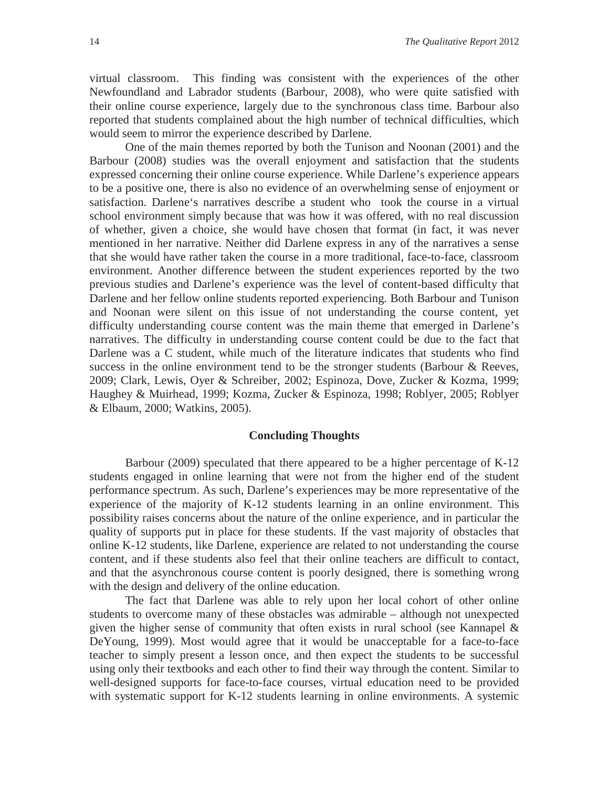virtual classroom. This finding was consistent with the experiences of the other Newfoundland and Labrador students (Barbour, 2008), who were quite satisfied with their online course experience, largely due to the synchronous class time. Barbour also reported that students complained about the high number of technical difficulties, which would seem to mirror the experience described by Darlene.

One of the main themes reported by both the Tunison and Noonan (2001) and the Barbour (2008) studies was the overall enjoyment and satisfaction that the students expressed concerning their online course experience. While Darlene's experience appears to be a positive one, there is also no evidence of an overwhelming sense of enjoyment or satisfaction. Darlene's narratives describe a student who took the course in a virtual school environment simply because that was how it was offered, with no real discussion of whether, given a choice, she would have chosen that format (in fact, it was never mentioned in her narrative. Neither did Darlene express in any of the narratives a sense that she would have rather taken the course in a more traditional, face-to-face, classroom environment. Another difference between the student experiences reported by the two previous studies and Darlene's experience was the level of content-based difficulty that Darlene and her fellow online students reported experiencing. Both Barbour and Tunison and Noonan were silent on this issue of not understanding the course content, yet difficulty understanding course content was the main theme that emerged in Darlene's narratives. The difficulty in understanding course content could be due to the fact that Darlene was a C student, while much of the literature indicates that students who find success in the online environment tend to be the stronger students (Barbour & Reeves, 2009; Clark, Lewis, Oyer & Schreiber, 2002; Espinoza, Dove, Zucker & Kozma, 1999; Haughey & Muirhead, 1999; Kozma, Zucker & Espinoza, 1998; Roblyer, 2005; Roblyer & Elbaum, 2000; Watkins, 2005).

#### **Concluding Thoughts**

Barbour (2009) speculated that there appeared to be a higher percentage of K-12 students engaged in online learning that were not from the higher end of the student performance spectrum. As such, Darlene's experiences may be more representative of the experience of the majority of K-12 students learning in an online environment. This possibility raises concerns about the nature of the online experience, and in particular the quality of supports put in place for these students. If the vast majority of obstacles that online K-12 students, like Darlene, experience are related to not understanding the course content, and if these students also feel that their online teachers are difficult to contact, and that the asynchronous course content is poorly designed, there is something wrong with the design and delivery of the online education.

The fact that Darlene was able to rely upon her local cohort of other online students to overcome many of these obstacles was admirable – although not unexpected given the higher sense of community that often exists in rural school (see Kannapel & DeYoung, 1999). Most would agree that it would be unacceptable for a face-to-face teacher to simply present a lesson once, and then expect the students to be successful using only their textbooks and each other to find their way through the content. Similar to well-designed supports for face-to-face courses, virtual education need to be provided with systematic support for K-12 students learning in online environments. A systemic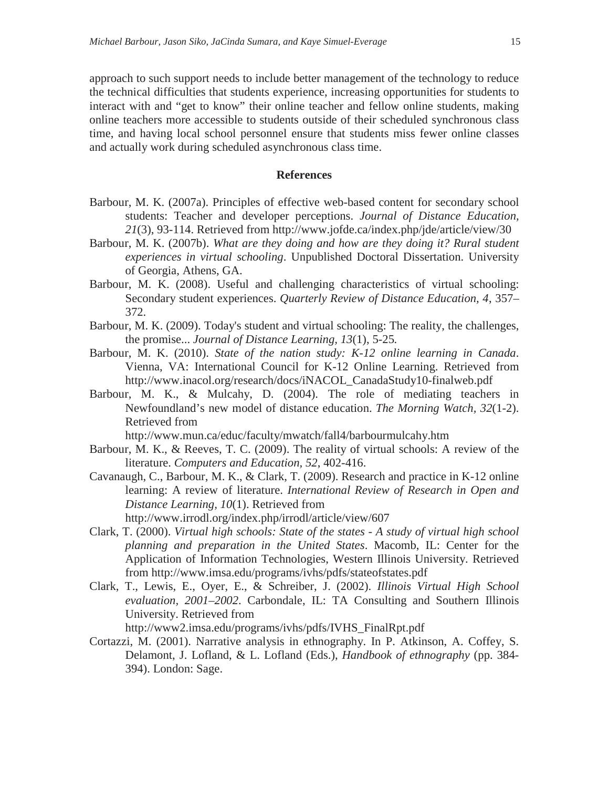approach to such support needs to include better management of the technology to reduce the technical difficulties that students experience, increasing opportunities for students to interact with and "get to know" their online teacher and fellow online students, making online teachers more accessible to students outside of their scheduled synchronous class time, and having local school personnel ensure that students miss fewer online classes and actually work during scheduled asynchronous class time.

#### **References**

- Barbour, M. K. (2007a). Principles of effective web-based content for secondary school students: Teacher and developer perceptions. *Journal of Distance Education, 21*(3), 93-114. Retrieved from http://www.jofde.ca/index.php/jde/article/view/30
- Barbour, M. K. (2007b). *What are they doing and how are they doing it? Rural student experiences in virtual schooling*. Unpublished Doctoral Dissertation. University of Georgia, Athens, GA.
- Barbour, M. K. (2008). Useful and challenging characteristics of virtual schooling: Secondary student experiences. *Quarterly Review of Distance Education, 4*, 357– 372.
- Barbour, M. K. (2009). Today's student and virtual schooling: The reality, the challenges, the promise... *Journal of Distance Learning, 13*(1), 5-25*.*
- Barbour, M. K. (2010). *State of the nation study: K-12 online learning in Canada*. Vienna, VA: International Council for K-12 Online Learning. Retrieved from http://www.inacol.org/research/docs/iNACOL\_CanadaStudy10-finalweb.pdf
- Barbour, M. K., & Mulcahy, D. (2004). The role of mediating teachers in Newfoundland's new model of distance education. *The Morning Watch, 32*(1-2). Retrieved from

http://www.mun.ca/educ/faculty/mwatch/fall4/barbourmulcahy.htm

- Barbour, M. K., & Reeves, T. C. (2009). The reality of virtual schools: A review of the literature. *Computers and Education, 52*, 402-416.
- Cavanaugh, C., Barbour, M. K., & Clark, T. (2009). Research and practice in K-12 online learning: A review of literature. *International Review of Research in Open and Distance Learning, 10*(1). Retrieved from http://www.irrodl.org/index.php/irrodl/article/view/607
- Clark, T. (2000). *Virtual high schools: State of the states A study of virtual high school planning and preparation in the United States*. Macomb, IL: Center for the Application of Information Technologies, Western Illinois University. Retrieved from http://www.imsa.edu/programs/ivhs/pdfs/stateofstates.pdf
- Clark, T., Lewis, E., Oyer, E., & Schreiber, J. (2002). *Illinois Virtual High School evaluation, 2001–2002*. Carbondale, IL: TA Consulting and Southern Illinois University. Retrieved from

http://www2.imsa.edu/programs/ivhs/pdfs/IVHS\_FinalRpt.pdf

Cortazzi, M. (2001). Narrative analysis in ethnography. In P. Atkinson, A. Coffey, S. Delamont, J. Lofland, & L. Lofland (Eds.), *Handbook of ethnography* (pp. 384- 394). London: Sage.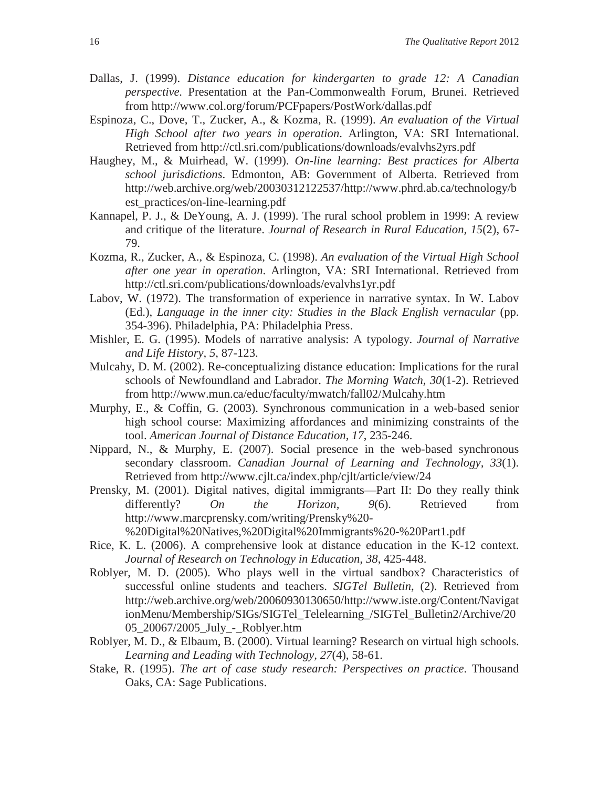- Dallas, J. (1999). *Distance education for kindergarten to grade 12: A Canadian perspective.* Presentation at the Pan-Commonwealth Forum, Brunei. Retrieved from http://www.col.org/forum/PCFpapers/PostWork/dallas.pdf
- Espinoza, C., Dove, T., Zucker, A., & Kozma, R. (1999). *An evaluation of the Virtual High School after two years in operation*. Arlington, VA: SRI International. Retrieved from http://ctl.sri.com/publications/downloads/evalvhs2yrs.pdf
- Haughey, M., & Muirhead, W. (1999). *On-line learning: Best practices for Alberta school jurisdictions*. Edmonton, AB: Government of Alberta. Retrieved from http://web.archive.org/web/20030312122537/http://www.phrd.ab.ca/technology/b est\_practices/on-line-learning.pdf
- Kannapel, P. J., & DeYoung, A. J. (1999). The rural school problem in 1999: A review and critique of the literature. *Journal of Research in Rural Education, 15*(2), 67- 79.
- Kozma, R., Zucker, A., & Espinoza, C. (1998). *An evaluation of the Virtual High School after one year in operation*. Arlington, VA: SRI International. Retrieved from http://ctl.sri.com/publications/downloads/evalvhs1yr.pdf
- Labov, W. (1972). The transformation of experience in narrative syntax. In W. Labov (Ed.), *Language in the inner city: Studies in the Black English vernacular* (pp. 354-396). Philadelphia, PA: Philadelphia Press.
- Mishler, E. G. (1995). Models of narrative analysis: A typology. *Journal of Narrative and Life History, 5*, 87-123.
- Mulcahy, D. M. (2002). Re-conceptualizing distance education: Implications for the rural schools of Newfoundland and Labrador. *The Morning Watch, 30*(1-2). Retrieved from http://www.mun.ca/educ/faculty/mwatch/fall02/Mulcahy.htm
- Murphy, E., & Coffin, G. (2003). Synchronous communication in a web-based senior high school course: Maximizing affordances and minimizing constraints of the tool. *American Journal of Distance Education, 17*, 235-246.
- Nippard, N., & Murphy, E. (2007). Social presence in the web-based synchronous secondary classroom. *Canadian Journal of Learning and Technology, 33*(1). Retrieved from http://www.cjlt.ca/index.php/cjlt/article/view/24
- Prensky, M. (2001). Digital natives, digital immigrants—Part II: Do they really think differently? *On the Horizon, 9*(6). Retrieved from http://www.marcprensky.com/writing/Prensky%20-

%20Digital%20Natives,%20Digital%20Immigrants%20-%20Part1.pdf

- Rice, K. L. (2006). A comprehensive look at distance education in the K-12 context. *Journal of Research on Technology in Education, 38*, 425-448.
- Roblyer, M. D. (2005). Who plays well in the virtual sandbox? Characteristics of successful online students and teachers. *SIGTel Bulletin*, (2). Retrieved from http://web.archive.org/web/20060930130650/http://www.iste.org/Content/Navigat ionMenu/Membership/SIGs/SIGTel\_Telelearning\_/SIGTel\_Bulletin2/Archive/20 05\_20067/2005\_July\_-\_Roblyer.htm
- Roblyer, M. D., & Elbaum, B. (2000). Virtual learning? Research on virtual high schools. *Learning and Leading with Technology, 27*(4), 58-61.
- Stake, R. (1995). *The art of case study research: Perspectives on practice*. Thousand Oaks, CA: Sage Publications.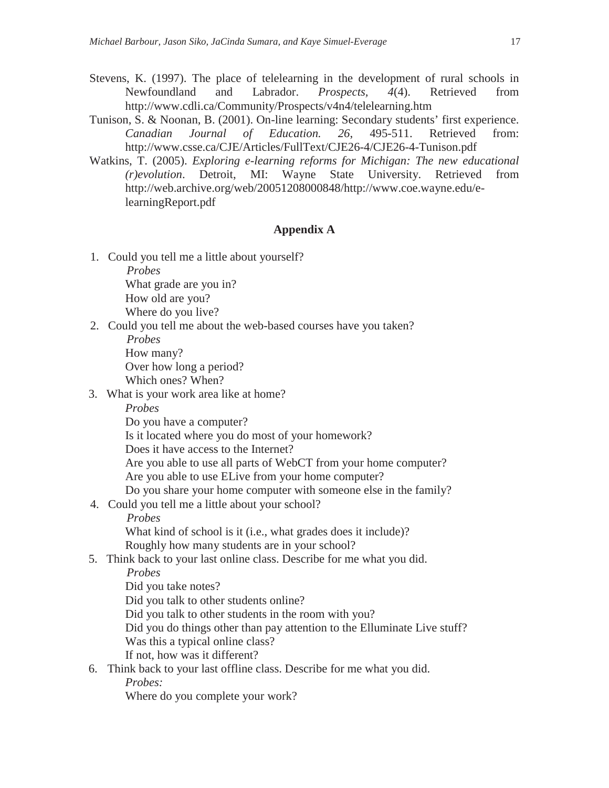- Stevens, K. (1997). The place of telelearning in the development of rural schools in Newfoundland and Labrador. *Prospects, 4*(4). Retrieved from http://www.cdli.ca/Community/Prospects/v4n4/telelearning.htm
- Tunison, S. & Noonan, B. (2001). On-line learning: Secondary students' first experience. *Canadian Journal of Education. 26*, 495-511. Retrieved from: http://www.csse.ca/CJE/Articles/FullText/CJE26-4/CJE26-4-Tunison.pdf
- Watkins, T. (2005). *Exploring e-learning reforms for Michigan: The new educational (r)evolution*. Detroit, MI: Wayne State University. Retrieved from http://web.archive.org/web/20051208000848/http://www.coe.wayne.edu/elearningReport.pdf

### **Appendix A**

- 1. Could you tell me a little about yourself? *Probes* What grade are you in? How old are you? Where do you live?
- 2. Could you tell me about the web-based courses have you taken?

*Probes* How many? Over how long a period? Which ones? When?

3. What is your work area like at home?

*Probes*

Do you have a computer?

Is it located where you do most of your homework?

Does it have access to the Internet?

Are you able to use all parts of WebCT from your home computer? Are you able to use ELive from your home computer?

Do you share your home computer with someone else in the family?

4. Could you tell me a little about your school?

*Probes*

What kind of school is it (i.e., what grades does it include)? Roughly how many students are in your school?

5. Think back to your last online class. Describe for me what you did.

*Probes*

Did you take notes?

Did you talk to other students online?

Did you talk to other students in the room with you?

Did you do things other than pay attention to the Elluminate Live stuff?

Was this a typical online class?

If not, how was it different?

# 6. Think back to your last offline class. Describe for me what you did.

*Probes:*

Where do you complete your work?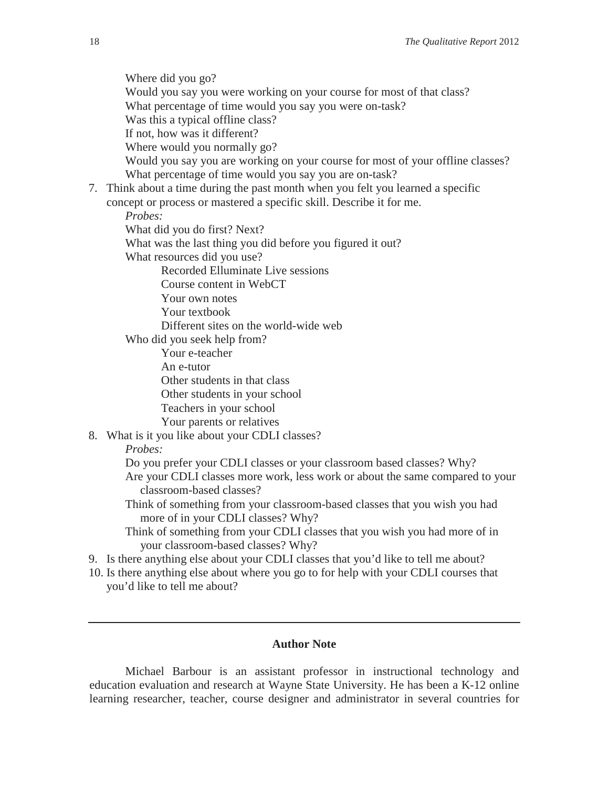Where did you go? Would you say you were working on your course for most of that class? What percentage of time would you say you were on-task? Was this a typical offline class? If not, how was it different? Where would you normally go? Would you say you are working on your course for most of your offline classes? What percentage of time would you say you are on-task?

- 7. Think about a time during the past month when you felt you learned a specific
	- concept or process or mastered a specific skill. Describe it for me.

*Probes:*

What did you do first? Next?

What was the last thing you did before you figured it out?

What resources did you use?

Recorded Elluminate Live sessions

Course content in WebCT

Your own notes

Your textbook

Different sites on the world-wide web

Who did you seek help from?

Your e-teacher

An e-tutor

Other students in that class

Other students in your school

Teachers in your school

Your parents or relatives

8. What is it you like about your CDLI classes?

#### *Probes:*

Do you prefer your CDLI classes or your classroom based classes? Why?

Are your CDLI classes more work, less work or about the same compared to your classroom-based classes?

Think of something from your classroom-based classes that you wish you had more of in your CDLI classes? Why?

Think of something from your CDLI classes that you wish you had more of in your classroom-based classes? Why?

9. Is there anything else about your CDLI classes that you'd like to tell me about?

10. Is there anything else about where you go to for help with your CDLI courses that you'd like to tell me about?

# **Author Note**

Michael Barbour is an assistant professor in instructional technology and education evaluation and research at Wayne State University. He has been a K-12 online learning researcher, teacher, course designer and administrator in several countries for